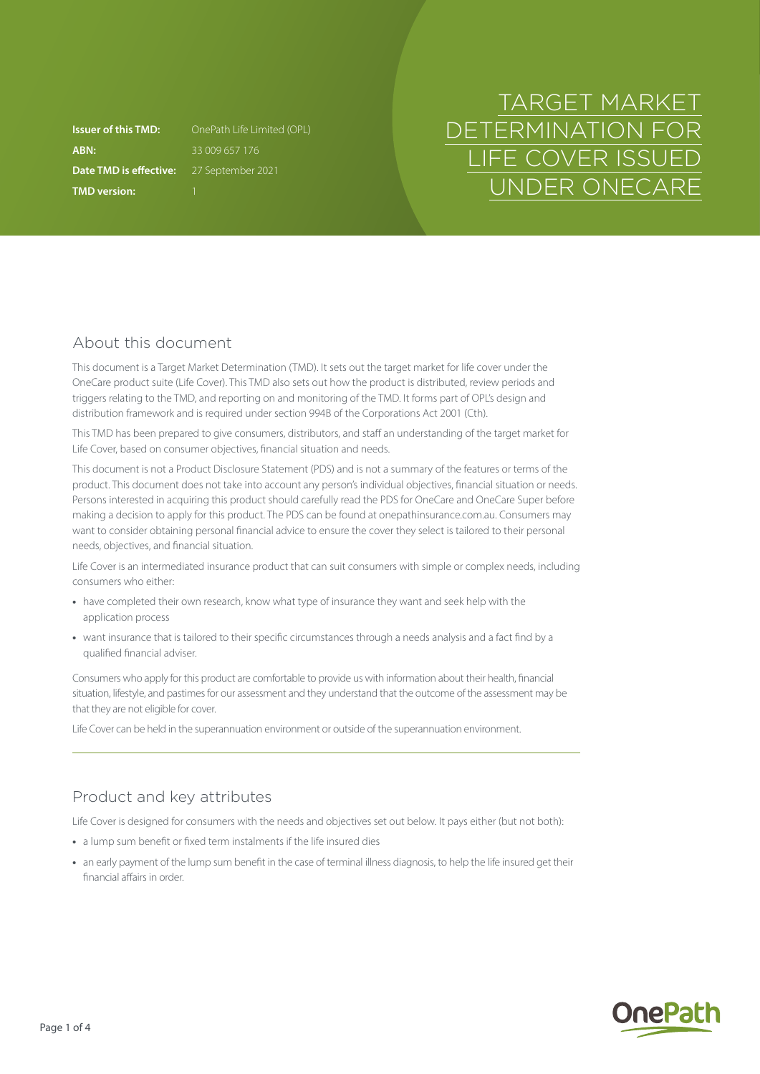**ABN:** 33 009 657 176 **Date TMD is effective:** 27 September 2021 **TMD version:** 1

**Issuer of this TMD:** OnePath Life Limited (OPL)

# TARGET MARKET DETERMINATION FOR LIFE COVER ISSUED UNDER ONECARE

### About this document

This document is a Target Market Determination (TMD). It sets out the target market for life cover under the OneCare product suite (Life Cover). This TMD also sets out how the product is distributed, review periods and triggers relating to the TMD, and reporting on and monitoring of the TMD. It forms part of OPL's design and distribution framework and is required under section 994B of the Corporations Act 2001 (Cth).

This TMD has been prepared to give consumers, distributors, and staff an understanding of the target market for Life Cover, based on consumer objectives, financial situation and needs.

This document is not a Product Disclosure Statement (PDS) and is not a summary of the features or terms of the product. This document does not take into account any person's individual objectives, financial situation or needs. Persons interested in acquiring this product should carefully read the PDS for OneCare and OneCare Super before making a decision to apply for this product. The PDS can be found at [onepathinsurance.com.au.](http://onepathinsurance.com.au) Consumers may want to consider obtaining personal financial advice to ensure the cover they select is tailored to their personal needs, objectives, and financial situation.

Life Cover is an intermediated insurance product that can suit consumers with simple or complex needs, including consumers who either:

- **•** have completed their own research, know what type of insurance they want and seek help with the application process
- **•** want insurance that is tailored to their specific circumstances through a needs analysis and a fact find by a qualified financial adviser.

Consumers who apply for this product are comfortable to provide us with information about their health, financial situation, lifestyle, and pastimes for our assessment and they understand that the outcome of the assessment may be that they are not eligible for cover.

Life Cover can be held in the superannuation environment or outside of the superannuation environment.

## Product and key attributes

Life Cover is designed for consumers with the needs and objectives set out below. It pays either (but not both):

- **•** a lump sum benefit or fixed term instalments if the life insured dies
- **•** an early payment of the lump sum benefit in the case of terminal illness diagnosis, to help the life insured get their financial affairs in order.

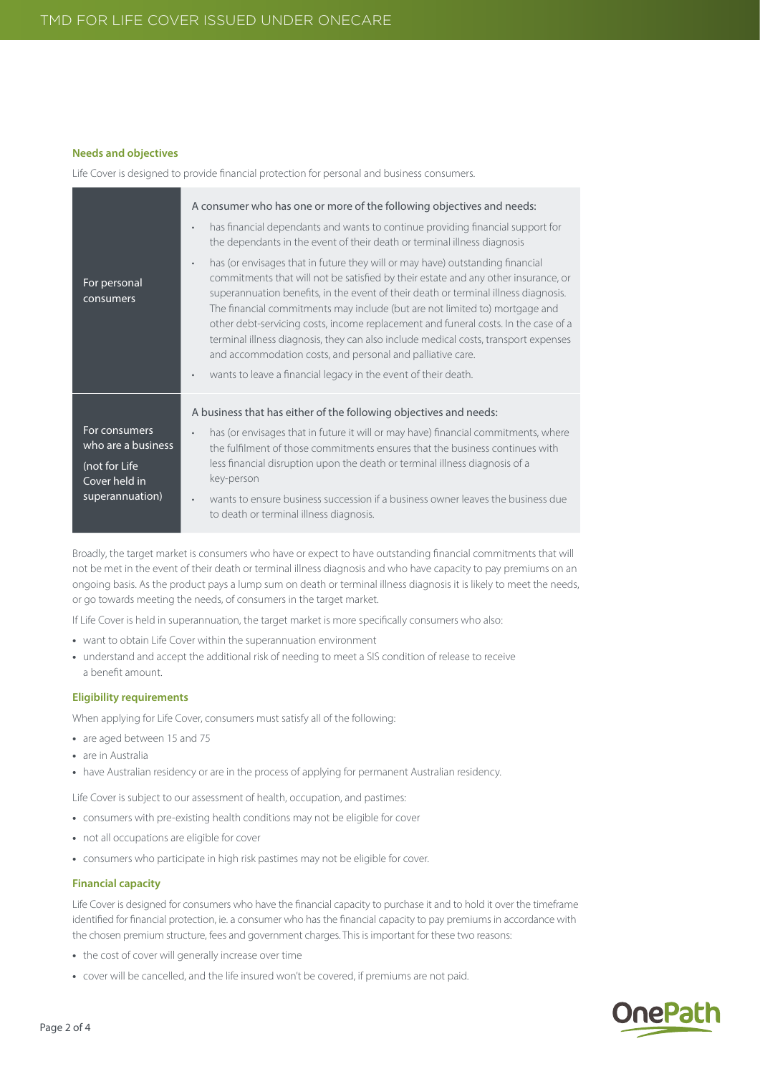#### **Needs and objectives**

Life Cover is designed to provide financial protection for personal and business consumers.

| For personal<br>consumers                                             | A consumer who has one or more of the following objectives and needs:<br>has financial dependants and wants to continue providing financial support for<br>$\bullet$<br>the dependants in the event of their death or terminal illness diagnosis<br>has (or envisages that in future they will or may have) outstanding financial<br>$\bullet$<br>commitments that will not be satisfied by their estate and any other insurance, or<br>superannuation benefits, in the event of their death or terminal illness diagnosis.<br>The financial commitments may include (but are not limited to) mortgage and<br>other debt-servicing costs, income replacement and funeral costs. In the case of a<br>terminal illness diagnosis, they can also include medical costs, transport expenses<br>and accommodation costs, and personal and palliative care.<br>wants to leave a financial legacy in the event of their death.<br>$\bullet$ |
|-----------------------------------------------------------------------|--------------------------------------------------------------------------------------------------------------------------------------------------------------------------------------------------------------------------------------------------------------------------------------------------------------------------------------------------------------------------------------------------------------------------------------------------------------------------------------------------------------------------------------------------------------------------------------------------------------------------------------------------------------------------------------------------------------------------------------------------------------------------------------------------------------------------------------------------------------------------------------------------------------------------------------|
|                                                                       | A business that has either of the following objectives and needs:                                                                                                                                                                                                                                                                                                                                                                                                                                                                                                                                                                                                                                                                                                                                                                                                                                                                    |
| For consumers<br>who are a business<br>(not for Life<br>Cover held in | has (or envisages that in future it will or may have) financial commitments, where<br>$\bullet$<br>the fulfilment of those commitments ensures that the business continues with<br>less financial disruption upon the death or terminal illness diagnosis of a<br>key-person                                                                                                                                                                                                                                                                                                                                                                                                                                                                                                                                                                                                                                                         |
| superannuation)                                                       | wants to ensure business succession if a business owner leaves the business due<br>$\bullet$<br>to death or terminal illness diagnosis.                                                                                                                                                                                                                                                                                                                                                                                                                                                                                                                                                                                                                                                                                                                                                                                              |

Broadly, the target market is consumers who have or expect to have outstanding financial commitments that will not be met in the event of their death or terminal illness diagnosis and who have capacity to pay premiums on an ongoing basis. As the product pays a lump sum on death or terminal illness diagnosis it is likely to meet the needs, or go towards meeting the needs, of consumers in the target market.

If Life Cover is held in superannuation, the target market is more specifically consumers who also:

- **•** want to obtain Life Cover within the superannuation environment
- **•** understand and accept the additional risk of needing to meet a SIS condition of release to receive a benefit amount.

#### **Eligibility requirements**

When applying for Life Cover, consumers must satisfy all of the following:

- **•** are aged between 15 and 75
- **•** are in Australia
- **•** have Australian residency or are in the process of applying for permanent Australian residency.

Life Cover is subject to our assessment of health, occupation, and pastimes:

- **•** consumers with pre-existing health conditions may not be eligible for cover
- **•** not all occupations are eligible for cover
- **•** consumers who participate in high risk pastimes may not be eligible for cover.

#### **Financial capacity**

Life Cover is designed for consumers who have the financial capacity to purchase it and to hold it over the timeframe identified for financial protection, ie. a consumer who has the financial capacity to pay premiums in accordance with the chosen premium structure, fees and government charges. This is important for these two reasons:

- **•** the cost of cover will generally increase over time
- **•** cover will be cancelled, and the life insured won't be covered, if premiums are not paid.

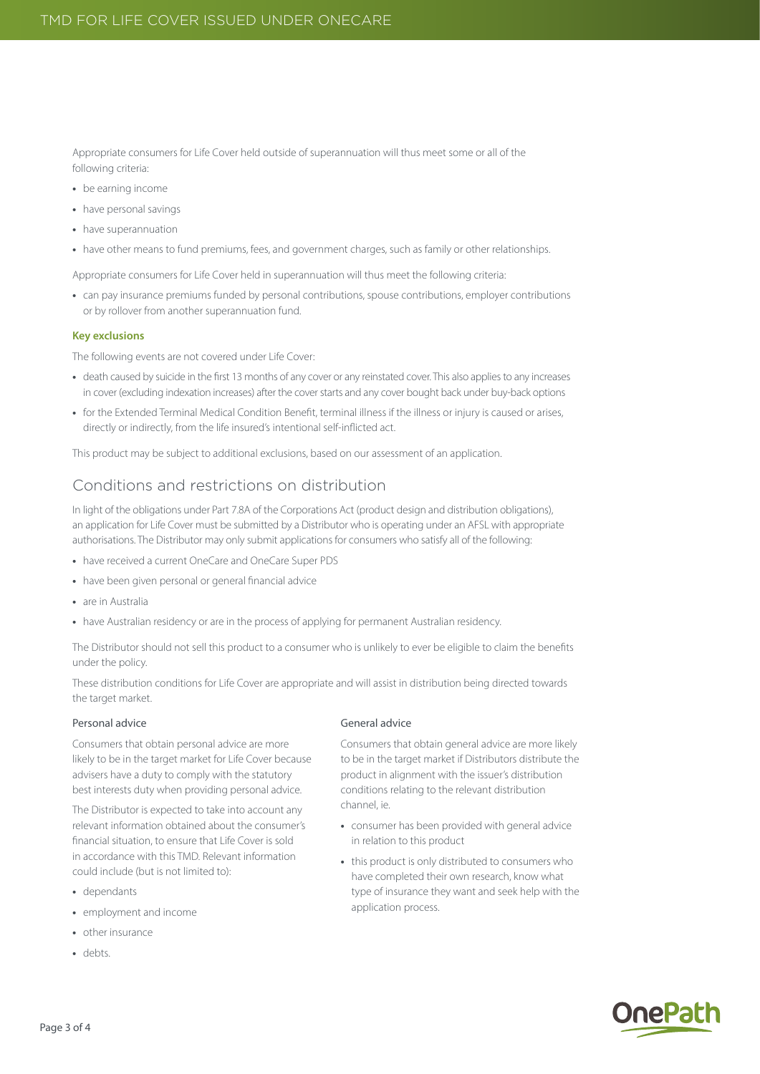Appropriate consumers for Life Cover held outside of superannuation will thus meet some or all of the following criteria:

- **•** be earning income
- **•** have personal savings
- **•** have superannuation
- **•** have other means to fund premiums, fees, and government charges, such as family or other relationships.

Appropriate consumers for Life Cover held in superannuation will thus meet the following criteria:

**•** can pay insurance premiums funded by personal contributions, spouse contributions, employer contributions or by rollover from another superannuation fund.

#### **Key exclusions**

The following events are not covered under Life Cover:

- **•** death caused by suicide in the first 13 months of any cover or any reinstated cover. This also applies to any increases in cover (excluding indexation increases) after the cover starts and any cover bought back under buy-back options
- **•** for the Extended Terminal Medical Condition Benefit, terminal illness if the illness or injury is caused or arises, directly or indirectly, from the life insured's intentional self-inflicted act.

This product may be subject to additional exclusions, based on our assessment of an application.

# Conditions and restrictions on distribution

In light of the obligations under Part 7.8A of the Corporations Act (product design and distribution obligations), an application for Life Cover must be submitted by a Distributor who is operating under an AFSL with appropriate authorisations. The Distributor may only submit applications for consumers who satisfy all of the following:

- **•** have received a current OneCare and OneCare Super PDS
- **•** have been given personal or general financial advice
- **•** are in Australia
- have Australian residency or are in the process of applying for permanent Australian residency.

The Distributor should not sell this product to a consumer who is unlikely to ever be eligible to claim the benefits under the policy.

These distribution conditions for Life Cover are appropriate and will assist in distribution being directed towards the target market.

#### Personal advice

Consumers that obtain personal advice are more likely to be in the target market for Life Cover because advisers have a duty to comply with the statutory best interests duty when providing personal advice.

The Distributor is expected to take into account any relevant information obtained about the consumer's financial situation, to ensure that Life Cover is sold in accordance with this TMD. Relevant information could include (but is not limited to):

- **•** dependants
- **•** employment and income
- **•** other insurance
- **•** debts.

#### General advice

Consumers that obtain general advice are more likely to be in the target market if Distributors distribute the product in alignment with the issuer's distribution conditions relating to the relevant distribution channel ie.

- **•** consumer has been provided with general advice in relation to this product
- **•** this product is only distributed to consumers who have completed their own research, know what type of insurance they want and seek help with the application process.